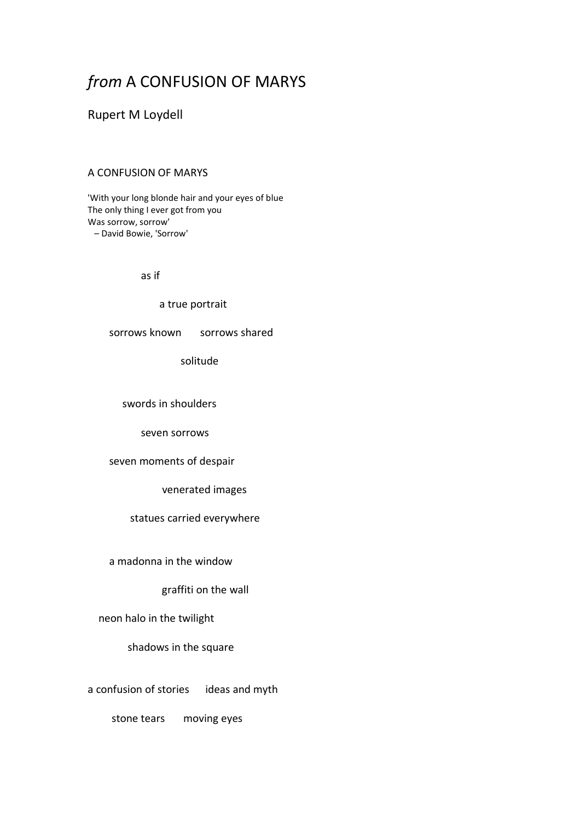# *from* A CONFUSION OF MARYS

## Rupert M Loydell

#### A CONFUSION OF MARYS

'With your long blonde hair and your eyes of blue The only thing I ever got from you Was sorrow, sorrow' – David Bowie, 'Sorrow'

as if

#### a true portrait

## sorrows known sorrows shared

solitude

swords in shoulders

seven sorrows

#### seven moments of despair

venerated images

## statues carried everywhere

a madonna in the window

graffiti on the wall

neon halo in the twilight

## shadows in the square

a confusion of stories ideas and myth

stone tears moving eyes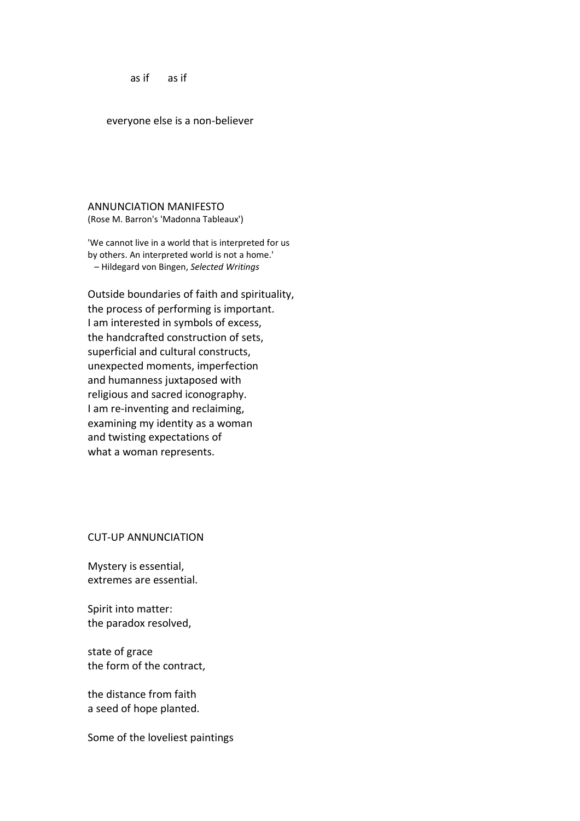as if as if

#### everyone else is a non-believer

#### ANNUNCIATION MANIFESTO

(Rose M. Barron's 'Madonna Tableaux')

'We cannot live in a world that is interpreted for us by others. An interpreted world is not a home.' – Hildegard von Bingen, *Selected Writings*

Outside boundaries of faith and spirituality, the process of performing is important. I am interested in symbols of excess, the handcrafted construction of sets, superficial and cultural constructs, unexpected moments, imperfection and humanness juxtaposed with religious and sacred iconography. I am re-inventing and reclaiming, examining my identity as a woman and twisting expectations of what a woman represents.

CUT-UP ANNUNCIATION

Mystery is essential, extremes are essential.

Spirit into matter: the paradox resolved,

state of grace the form of the contract,

the distance from faith a seed of hope planted.

Some of the loveliest paintings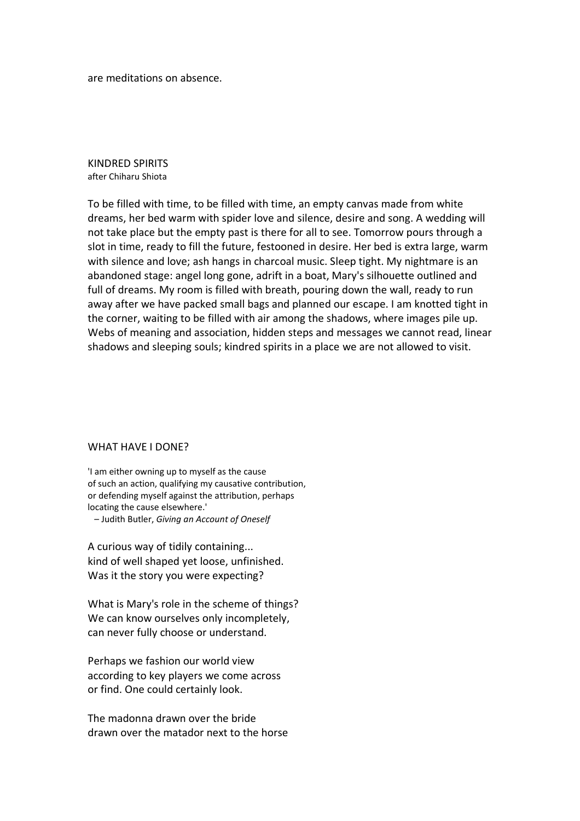are meditations on absence.

KINDRED SPIRITS after Chiharu Shiota

To be filled with time, to be filled with time, an empty canvas made from white dreams, her bed warm with spider love and silence, desire and song. A wedding will not take place but the empty past is there for all to see. Tomorrow pours through a slot in time, ready to fill the future, festooned in desire. Her bed is extra large, warm with silence and love; ash hangs in charcoal music. Sleep tight. My nightmare is an abandoned stage: angel long gone, adrift in a boat, Mary's silhouette outlined and full of dreams. My room is filled with breath, pouring down the wall, ready to run away after we have packed small bags and planned our escape. I am knotted tight in the corner, waiting to be filled with air among the shadows, where images pile up. Webs of meaning and association, hidden steps and messages we cannot read, linear shadows and sleeping souls; kindred spirits in a place we are not allowed to visit.

#### WHAT HAVE I DONE?

'I am either owning up to myself as the cause of such an action, qualifying my causative contribution, or defending myself against the attribution, perhaps locating the cause elsewhere.' – Judith Butler, *Giving an Account of Oneself*

A curious way of tidily containing... kind of well shaped yet loose, unfinished. Was it the story you were expecting?

What is Mary's role in the scheme of things? We can know ourselves only incompletely, can never fully choose or understand.

Perhaps we fashion our world view according to key players we come across or find. One could certainly look.

The madonna drawn over the bride drawn over the matador next to the horse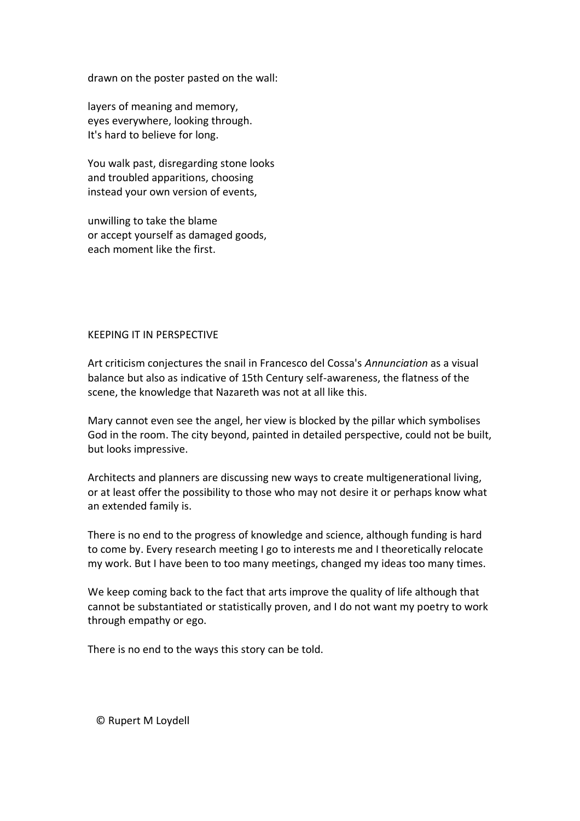drawn on the poster pasted on the wall:

layers of meaning and memory, eyes everywhere, looking through. It's hard to believe for long.

You walk past, disregarding stone looks and troubled apparitions, choosing instead your own version of events,

unwilling to take the blame or accept yourself as damaged goods, each moment like the first.

## KEEPING IT IN PERSPECTIVE

Art criticism conjectures the snail in Francesco del Cossa's *Annunciation* as a visual balance but also as indicative of 15th Century self-awareness, the flatness of the scene, the knowledge that Nazareth was not at all like this.

Mary cannot even see the angel, her view is blocked by the pillar which symbolises God in the room. The city beyond, painted in detailed perspective, could not be built, but looks impressive.

Architects and planners are discussing new ways to create multigenerational living, or at least offer the possibility to those who may not desire it or perhaps know what an extended family is.

There is no end to the progress of knowledge and science, although funding is hard to come by. Every research meeting I go to interests me and I theoretically relocate my work. But I have been to too many meetings, changed my ideas too many times.

We keep coming back to the fact that arts improve the quality of life although that cannot be substantiated or statistically proven, and I do not want my poetry to work through empathy or ego.

There is no end to the ways this story can be told.

© Rupert M Loydell